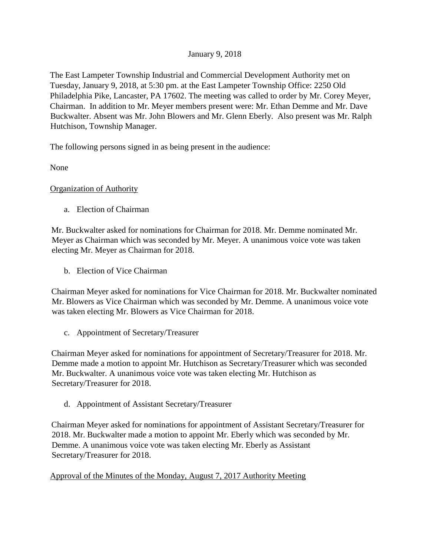# January 9, 2018

The East Lampeter Township Industrial and Commercial Development Authority met on Tuesday, January 9, 2018, at 5:30 pm. at the East Lampeter Township Office: 2250 Old Philadelphia Pike, Lancaster, PA 17602. The meeting was called to order by Mr. Corey Meyer, Chairman. In addition to Mr. Meyer members present were: Mr. Ethan Demme and Mr. Dave Buckwalter. Absent was Mr. John Blowers and Mr. Glenn Eberly. Also present was Mr. Ralph Hutchison, Township Manager.

The following persons signed in as being present in the audience:

None

## Organization of Authority

a. Election of Chairman

Mr. Buckwalter asked for nominations for Chairman for 2018. Mr. Demme nominated Mr. Meyer as Chairman which was seconded by Mr. Meyer. A unanimous voice vote was taken electing Mr. Meyer as Chairman for 2018.

b. Election of Vice Chairman

Chairman Meyer asked for nominations for Vice Chairman for 2018. Mr. Buckwalter nominated Mr. Blowers as Vice Chairman which was seconded by Mr. Demme. A unanimous voice vote was taken electing Mr. Blowers as Vice Chairman for 2018.

c. Appointment of Secretary/Treasurer

Chairman Meyer asked for nominations for appointment of Secretary/Treasurer for 2018. Mr. Demme made a motion to appoint Mr. Hutchison as Secretary/Treasurer which was seconded Mr. Buckwalter. A unanimous voice vote was taken electing Mr. Hutchison as Secretary/Treasurer for 2018.

d. Appointment of Assistant Secretary/Treasurer

Chairman Meyer asked for nominations for appointment of Assistant Secretary/Treasurer for 2018. Mr. Buckwalter made a motion to appoint Mr. Eberly which was seconded by Mr. Demme. A unanimous voice vote was taken electing Mr. Eberly as Assistant Secretary/Treasurer for 2018.

Approval of the Minutes of the Monday, August 7, 2017 Authority Meeting